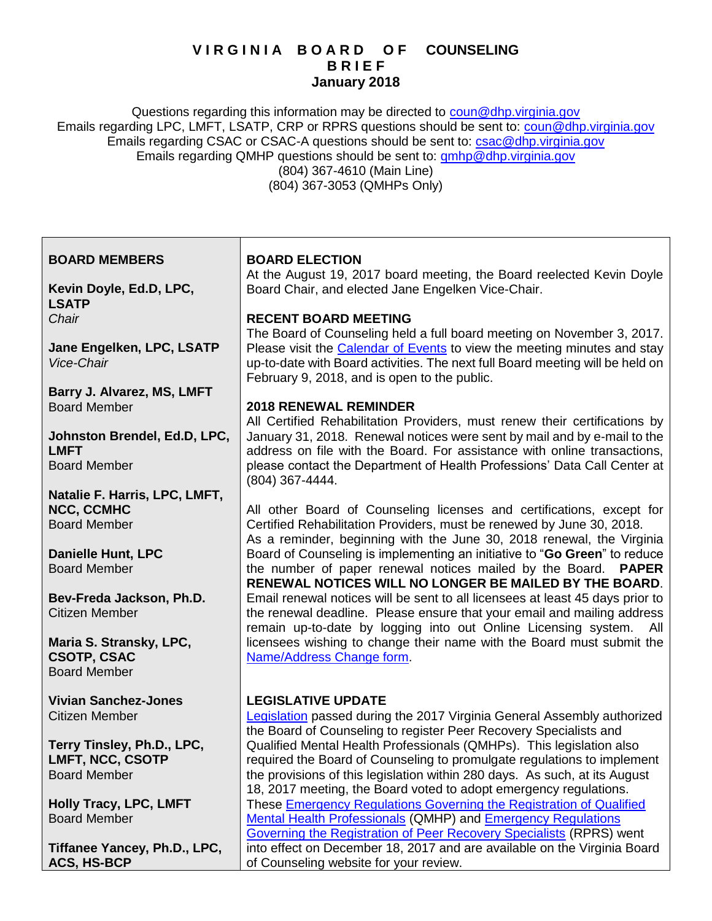## **V I R G I N I A B O A R D O F COUNSELING B R I E F January 2018**

Questions regarding this information may be directed to [coun@dhp.virginia.gov](mailto:coun@dhp.virginia.gov) Emails regarding LPC, LMFT, LSATP, CRP or RPRS questions should be sent to: [coun@dhp.virginia.gov](mailto:coun@dhp.virginia.gov) Emails regarding CSAC or CSAC-A questions should be sent to: [csac@dhp.virginia.gov](mailto:csac@dhp.virginia.gov) Emails regarding QMHP questions should be sent to: [qmhp@dhp.virginia.gov](mailto:qmhp@dhp.virginia.gov) (804) 367-4610 (Main Line) (804) 367-3053 (QMHPs Only)

| <b>BOARD MEMBERS</b>                        | <b>BOARD ELECTION</b>                                                                                                                                                                                                                                                               |
|---------------------------------------------|-------------------------------------------------------------------------------------------------------------------------------------------------------------------------------------------------------------------------------------------------------------------------------------|
|                                             | At the August 19, 2017 board meeting, the Board reelected Kevin Doyle                                                                                                                                                                                                               |
| Kevin Doyle, Ed.D, LPC,<br><b>LSATP</b>     | Board Chair, and elected Jane Engelken Vice-Chair.                                                                                                                                                                                                                                  |
| Chair                                       | <b>RECENT BOARD MEETING</b>                                                                                                                                                                                                                                                         |
| Jane Engelken, LPC, LSATP<br>Vice-Chair     | The Board of Counseling held a full board meeting on November 3, 2017.<br>Please visit the Calendar of Events to view the meeting minutes and stay<br>up-to-date with Board activities. The next full Board meeting will be held on<br>February 9, 2018, and is open to the public. |
| Barry J. Alvarez, MS, LMFT                  |                                                                                                                                                                                                                                                                                     |
| <b>Board Member</b>                         | <b>2018 RENEWAL REMINDER</b>                                                                                                                                                                                                                                                        |
|                                             | All Certified Rehabilitation Providers, must renew their certifications by                                                                                                                                                                                                          |
| Johnston Brendel, Ed.D, LPC,<br><b>LMFT</b> | January 31, 2018. Renewal notices were sent by mail and by e-mail to the<br>address on file with the Board. For assistance with online transactions,                                                                                                                                |
| <b>Board Member</b>                         | please contact the Department of Health Professions' Data Call Center at<br>(804) 367-4444.                                                                                                                                                                                         |
| Natalie F. Harris, LPC, LMFT,               |                                                                                                                                                                                                                                                                                     |
| <b>NCC, CCMHC</b>                           | All other Board of Counseling licenses and certifications, except for                                                                                                                                                                                                               |
| <b>Board Member</b>                         | Certified Rehabilitation Providers, must be renewed by June 30, 2018.                                                                                                                                                                                                               |
|                                             | As a reminder, beginning with the June 30, 2018 renewal, the Virginia                                                                                                                                                                                                               |
| <b>Danielle Hunt, LPC</b>                   | Board of Counseling is implementing an initiative to "Go Green" to reduce                                                                                                                                                                                                           |
| <b>Board Member</b>                         | the number of paper renewal notices mailed by the Board. PAPER<br>RENEWAL NOTICES WILL NO LONGER BE MAILED BY THE BOARD.                                                                                                                                                            |
| Bev-Freda Jackson, Ph.D.                    | Email renewal notices will be sent to all licensees at least 45 days prior to                                                                                                                                                                                                       |
| <b>Citizen Member</b>                       | the renewal deadline. Please ensure that your email and mailing address                                                                                                                                                                                                             |
|                                             | remain up-to-date by logging into out Online Licensing system. All                                                                                                                                                                                                                  |
| Maria S. Stransky, LPC,                     | licensees wishing to change their name with the Board must submit the                                                                                                                                                                                                               |
| <b>CSOTP, CSAC</b><br><b>Board Member</b>   | Name/Address Change form.                                                                                                                                                                                                                                                           |
| <b>Vivian Sanchez-Jones</b>                 | <b>LEGISLATIVE UPDATE</b>                                                                                                                                                                                                                                                           |
| <b>Citizen Member</b>                       | Legislation passed during the 2017 Virginia General Assembly authorized                                                                                                                                                                                                             |
|                                             | the Board of Counseling to register Peer Recovery Specialists and                                                                                                                                                                                                                   |
| Terry Tinsley, Ph.D., LPC,                  | Qualified Mental Health Professionals (QMHPs). This legislation also                                                                                                                                                                                                                |
| <b>LMFT, NCC, CSOTP</b>                     | required the Board of Counseling to promulgate regulations to implement                                                                                                                                                                                                             |
| <b>Board Member</b>                         | the provisions of this legislation within 280 days. As such, at its August                                                                                                                                                                                                          |
|                                             | 18, 2017 meeting, the Board voted to adopt emergency regulations.                                                                                                                                                                                                                   |
| <b>Holly Tracy, LPC, LMFT</b>               | These Emergency Regulations Governing the Registration of Qualified                                                                                                                                                                                                                 |
| <b>Board Member</b>                         | <b>Mental Health Professionals (QMHP) and Emergency Regulations</b>                                                                                                                                                                                                                 |
|                                             | Governing the Registration of Peer Recovery Specialists (RPRS) went                                                                                                                                                                                                                 |
| Tiffanee Yancey, Ph.D., LPC,                | into effect on December 18, 2017 and are available on the Virginia Board                                                                                                                                                                                                            |

of Counseling website for your review.

**ACS, HS-BCP**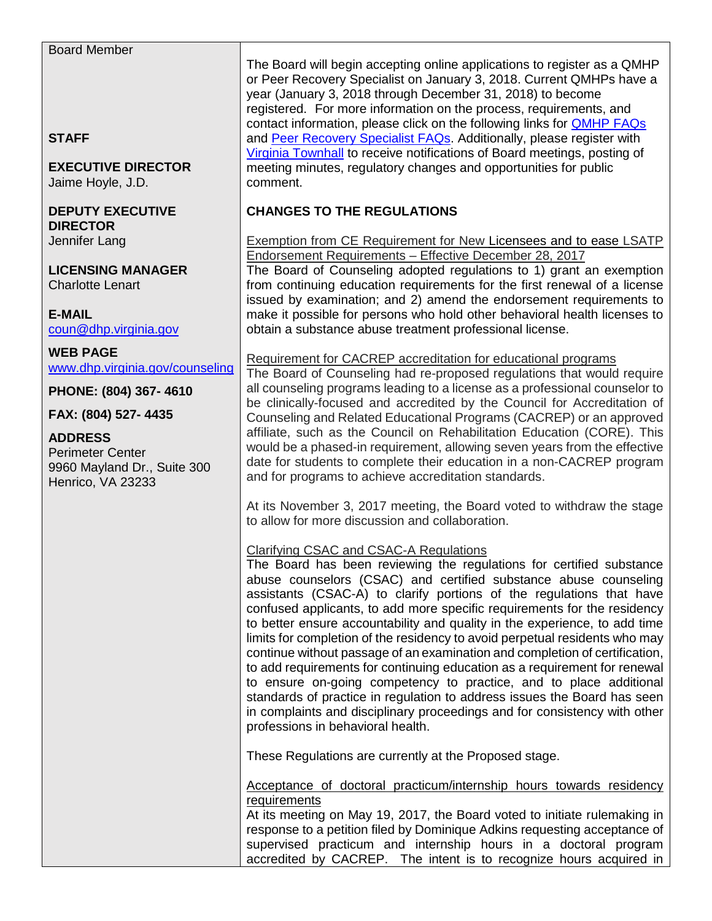| <b>Board Member</b><br><b>STAFF</b><br><b>EXECUTIVE DIRECTOR</b><br>Jaime Hoyle, J.D.         | The Board will begin accepting online applications to register as a QMHP<br>or Peer Recovery Specialist on January 3, 2018. Current QMHPs have a<br>year (January 3, 2018 through December 31, 2018) to become<br>registered. For more information on the process, requirements, and<br>contact information, please click on the following links for <b>QMHP FAQs</b><br>and Peer Recovery Specialist FAQs. Additionally, please register with<br>Virginia Townhall to receive notifications of Board meetings, posting of<br>meeting minutes, regulatory changes and opportunities for public<br>comment.                                                                                                                                                                                                                                                                                                                                                                                           |
|-----------------------------------------------------------------------------------------------|------------------------------------------------------------------------------------------------------------------------------------------------------------------------------------------------------------------------------------------------------------------------------------------------------------------------------------------------------------------------------------------------------------------------------------------------------------------------------------------------------------------------------------------------------------------------------------------------------------------------------------------------------------------------------------------------------------------------------------------------------------------------------------------------------------------------------------------------------------------------------------------------------------------------------------------------------------------------------------------------------|
| <b>DEPUTY EXECUTIVE</b><br><b>DIRECTOR</b>                                                    | <b>CHANGES TO THE REGULATIONS</b>                                                                                                                                                                                                                                                                                                                                                                                                                                                                                                                                                                                                                                                                                                                                                                                                                                                                                                                                                                    |
| Jennifer Lang                                                                                 | <b>Exemption from CE Requirement for New Licensees and to ease LSATP</b><br>Endorsement Requirements - Effective December 28, 2017                                                                                                                                                                                                                                                                                                                                                                                                                                                                                                                                                                                                                                                                                                                                                                                                                                                                   |
| <b>LICENSING MANAGER</b><br><b>Charlotte Lenart</b>                                           | The Board of Counseling adopted regulations to 1) grant an exemption<br>from continuing education requirements for the first renewal of a license<br>issued by examination; and 2) amend the endorsement requirements to                                                                                                                                                                                                                                                                                                                                                                                                                                                                                                                                                                                                                                                                                                                                                                             |
| <b>E-MAIL</b><br>coun@dhp.virginia.gov                                                        | make it possible for persons who hold other behavioral health licenses to<br>obtain a substance abuse treatment professional license.                                                                                                                                                                                                                                                                                                                                                                                                                                                                                                                                                                                                                                                                                                                                                                                                                                                                |
| <b>WEB PAGE</b>                                                                               | Requirement for CACREP accreditation for educational programs                                                                                                                                                                                                                                                                                                                                                                                                                                                                                                                                                                                                                                                                                                                                                                                                                                                                                                                                        |
| www.dhp.virginia.gov/counseling<br>PHONE: (804) 367-4610                                      | The Board of Counseling had re-proposed regulations that would require<br>all counseling programs leading to a license as a professional counselor to                                                                                                                                                                                                                                                                                                                                                                                                                                                                                                                                                                                                                                                                                                                                                                                                                                                |
| FAX: (804) 527-4435                                                                           | be clinically-focused and accredited by the Council for Accreditation of<br>Counseling and Related Educational Programs (CACREP) or an approved                                                                                                                                                                                                                                                                                                                                                                                                                                                                                                                                                                                                                                                                                                                                                                                                                                                      |
| <b>ADDRESS</b><br><b>Perimeter Center</b><br>9960 Mayland Dr., Suite 300<br>Henrico, VA 23233 | affiliate, such as the Council on Rehabilitation Education (CORE). This<br>would be a phased-in requirement, allowing seven years from the effective<br>date for students to complete their education in a non-CACREP program<br>and for programs to achieve accreditation standards.                                                                                                                                                                                                                                                                                                                                                                                                                                                                                                                                                                                                                                                                                                                |
|                                                                                               | At its November 3, 2017 meeting, the Board voted to withdraw the stage<br>to allow for more discussion and collaboration.                                                                                                                                                                                                                                                                                                                                                                                                                                                                                                                                                                                                                                                                                                                                                                                                                                                                            |
|                                                                                               | <b>Clarifying CSAC and CSAC-A Regulations</b><br>The Board has been reviewing the regulations for certified substance<br>abuse counselors (CSAC) and certified substance abuse counseling<br>assistants (CSAC-A) to clarify portions of the regulations that have<br>confused applicants, to add more specific requirements for the residency<br>to better ensure accountability and quality in the experience, to add time<br>limits for completion of the residency to avoid perpetual residents who may<br>continue without passage of an examination and completion of certification,<br>to add requirements for continuing education as a requirement for renewal<br>to ensure on-going competency to practice, and to place additional<br>standards of practice in regulation to address issues the Board has seen<br>in complaints and disciplinary proceedings and for consistency with other<br>professions in behavioral health.<br>These Regulations are currently at the Proposed stage. |
|                                                                                               | Acceptance of doctoral practicum/internship hours towards residency                                                                                                                                                                                                                                                                                                                                                                                                                                                                                                                                                                                                                                                                                                                                                                                                                                                                                                                                  |

**requirements** At its meeting on May 19, 2017, the Board voted to initiate rulemaking in response to a petition filed by Dominique Adkins requesting acceptance of supervised practicum and internship hours in a doctoral program accredited by CACREP. The intent is to recognize hours acquired in